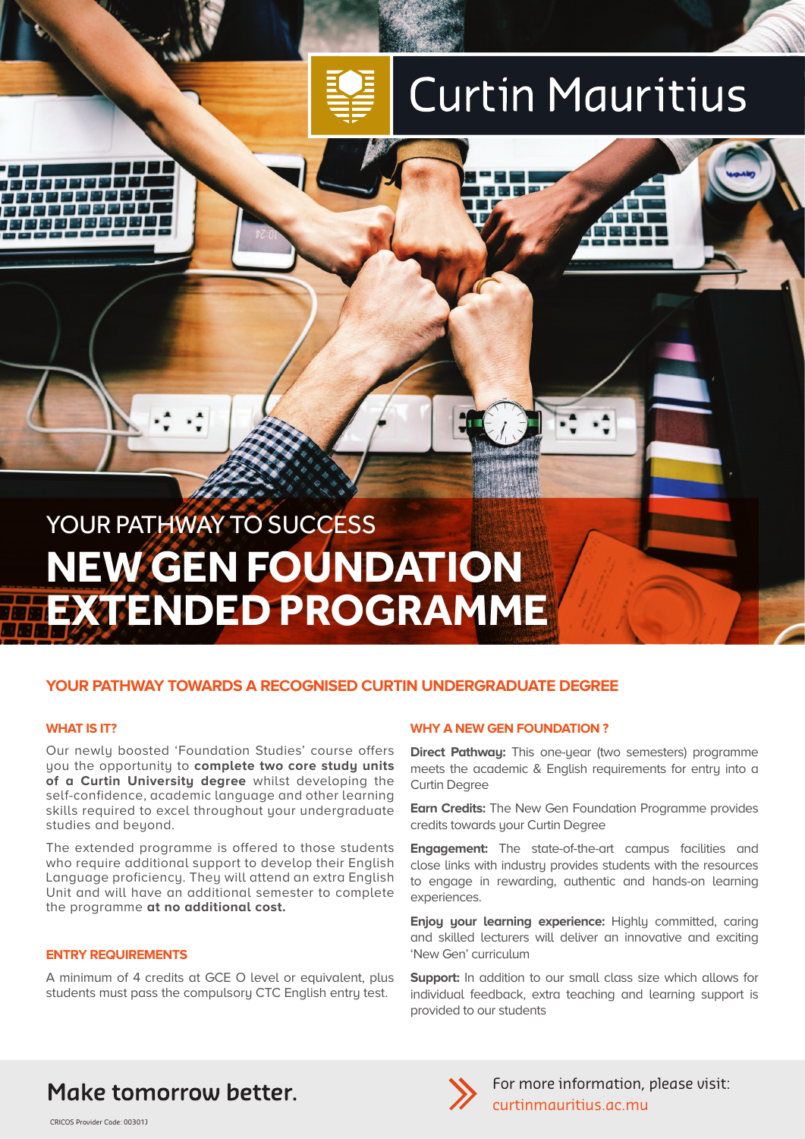# **Curtin Mauritius**

## YOUR PATHWAY TO SUCCESS **NEW GEN FOUNDATION EXTENDED PROGRAMME**

### **YOUR PATHWAY TOWARDS A RECOGNISED CURTIN UNDERGRADUATE DEGREE**

#### **WHAT IS IT?**

Our newly boosted 'Foundation Studies' course offers you the opportunity to **complete two core study units of a Curtin University degree** whilst developing the self-confidence, academic language and other learning skills required to excel throughout your undergraduate studies and beyond.

The extended programme is offered to those students who require additional support to develop their English Language proficiency. They will attend an extra English Unit and will have an additional semester to complete the programme **at no additional cost.**

#### **ENTRY REQUIREMENTS**

A minimum of 4 credits at GCE O level or equivalent, plus students must pass the compulsory CTC English entry test.

#### **WHY A NEW GEN FOUNDATION ?**

**Direct Pathway:** This one-year (two semesters) programme meets the academic & English requirements for entry into a Curtin Degree

**Earn Credits:** The New Gen Foundation Programme provides credits towards your Curtin Degree

**Engagement:** The state-of-the-art campus facilities and close links with industry provides students with the resources to engage in rewarding, authentic and hands-on learning experiences.

**Enjoy your learning experience:** Highly committed, caring and skilled lecturers will deliver an innovative and exciting 'New Gen' curriculum

**Support:** In addition to our small class size which allows for individual feedback, extra teaching and learning support is provided to our students

## Make tomorrow better.

CRICOS Provider Code: 00301J



For more information, please visit: curtinmauritius.ac.mu